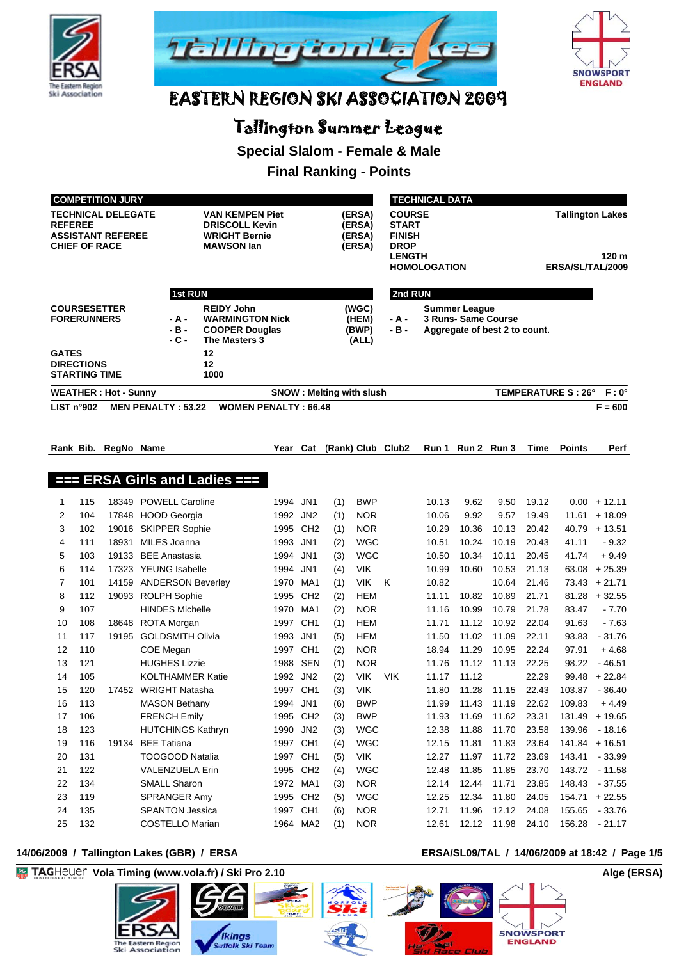





# Tallington Summer League

**Special Slalom - Female & Male**

# **Final Ranking - Points**

| <b>COMPETITION JURY</b>                                                                         |                                           |                             |                                                                                                                                      |                                                                                       |                             |                                    |                                 |                                  | <b>TECHNICAL DATA</b>                                                                                 |                |                                                      |                               |                |                            |                            |  |  |
|-------------------------------------------------------------------------------------------------|-------------------------------------------|-----------------------------|--------------------------------------------------------------------------------------------------------------------------------------|---------------------------------------------------------------------------------------|-----------------------------|------------------------------------|---------------------------------|----------------------------------|-------------------------------------------------------------------------------------------------------|----------------|------------------------------------------------------|-------------------------------|----------------|----------------------------|----------------------------|--|--|
| <b>TECHNICAL DELEGATE</b><br><b>REFEREE</b><br><b>ASSISTANT REFEREE</b><br><b>CHIEF OF RACE</b> |                                           |                             | <b>VAN KEMPEN Piet</b><br>(ERSA)<br><b>DRISCOLL Kevin</b><br>(ERSA)<br><b>WRIGHT Bernie</b><br>(ERSA)<br><b>MAWSON lan</b><br>(ERSA) |                                                                                       |                             |                                    |                                 |                                  | <b>COURSE</b><br><b>START</b><br><b>FINISH</b><br><b>DROP</b><br><b>LENGTH</b><br><b>HOMOLOGATION</b> |                | <b>Tallington Lakes</b><br>120 m<br>ERSA/SL/TAL/2009 |                               |                |                            |                            |  |  |
|                                                                                                 |                                           |                             | <b>1st RUN</b>                                                                                                                       |                                                                                       |                             |                                    |                                 |                                  | 2nd RUN                                                                                               |                |                                                      |                               |                |                            |                            |  |  |
|                                                                                                 | <b>FORERUNNERS</b>                        | <b>COURSESETTER</b>         | - A -<br>$-B -$<br>- C -                                                                                                             | <b>REIDY John</b><br><b>WARMINGTON Nick</b><br><b>COOPER Douglas</b><br>The Masters 3 |                             |                                    |                                 | (WGC)<br>(HEM)<br>(BWP)<br>(ALL) | - A -<br>- B -                                                                                        |                | <b>Summer League</b><br><b>3 Runs- Same Course</b>   | Aggregate of best 2 to count. |                |                            |                            |  |  |
| <b>GATES</b>                                                                                    | <b>DIRECTIONS</b><br><b>STARTING TIME</b> |                             |                                                                                                                                      | 12<br>12<br>1000                                                                      |                             |                                    |                                 |                                  |                                                                                                       |                |                                                      |                               |                |                            |                            |  |  |
|                                                                                                 |                                           | <b>WEATHER: Hot - Sunny</b> |                                                                                                                                      |                                                                                       |                             |                                    | <b>SNOW: Melting with slush</b> |                                  |                                                                                                       |                |                                                      |                               |                | <b>TEMPERATURE S : 26°</b> | $F: 0^{\circ}$             |  |  |
|                                                                                                 | LIST n°902                                |                             | <b>MEN PENALTY: 53.22</b>                                                                                                            |                                                                                       | <b>WOMEN PENALTY: 66.48</b> |                                    |                                 |                                  |                                                                                                       |                |                                                      |                               |                |                            | $F = 600$                  |  |  |
|                                                                                                 |                                           |                             |                                                                                                                                      |                                                                                       |                             |                                    |                                 |                                  |                                                                                                       |                |                                                      |                               |                |                            |                            |  |  |
|                                                                                                 |                                           | Rank Bib. RegNo Name        |                                                                                                                                      |                                                                                       | Year                        | Cat                                |                                 |                                  | (Rank) Club Club2                                                                                     |                | Run 1 Run 2 Run 3                                    |                               | Time           | <b>Points</b>              | Perf                       |  |  |
|                                                                                                 |                                           |                             |                                                                                                                                      | $==$ ERSA Girls and Ladies $==$                                                       |                             |                                    |                                 |                                  |                                                                                                       |                |                                                      |                               |                |                            |                            |  |  |
|                                                                                                 |                                           |                             |                                                                                                                                      |                                                                                       |                             |                                    |                                 |                                  |                                                                                                       |                |                                                      |                               |                |                            |                            |  |  |
| 1                                                                                               | 115                                       |                             | 18349 POWELL Caroline                                                                                                                |                                                                                       | 1994                        | JN <sub>1</sub>                    | (1)                             | <b>BWP</b>                       |                                                                                                       | 10.13          | 9.62                                                 | 9.50                          | 19.12          |                            | $0.00 + 12.11$             |  |  |
| 2                                                                                               | 104                                       | 17848                       | <b>HOOD Georgia</b>                                                                                                                  |                                                                                       | 1992                        | JN <sub>2</sub>                    | (1)                             | <b>NOR</b>                       |                                                                                                       | 10.06          | 9.92                                                 | 9.57                          | 19.49          |                            | $11.61 + 18.09$            |  |  |
| 3                                                                                               | 102                                       |                             | 19016 SKIPPER Sophie<br>MILES Joanna                                                                                                 |                                                                                       | 1995                        | CH <sub>2</sub>                    | (1)                             | <b>NOR</b><br><b>WGC</b>         |                                                                                                       | 10.29<br>10.51 | 10.36<br>10.24                                       | 10.13<br>10.19                | 20.42          |                            | $40.79 + 13.51$<br>$-9.32$ |  |  |
| 4<br>5                                                                                          | 111<br>103                                | 18931<br>19133              | <b>BEE Anastasia</b>                                                                                                                 |                                                                                       | 1993<br>1994                | JN <sub>1</sub><br>JN <sub>1</sub> | (2)<br>(3)                      | <b>WGC</b>                       |                                                                                                       | 10.50          | 10.34                                                | 10.11                         | 20.43<br>20.45 | 41.11<br>41.74             | $+9.49$                    |  |  |
| 6                                                                                               | 114                                       |                             | 17323 YEUNG Isabelle                                                                                                                 |                                                                                       | 1994                        | JN <sub>1</sub>                    | (4)                             | <b>VIK</b>                       |                                                                                                       | 10.99          | 10.60                                                | 10.53                         | 21.13          | 63.08                      | $+25.39$                   |  |  |
| 7                                                                                               | 101                                       |                             | 14159 ANDERSON Beverley                                                                                                              |                                                                                       | 1970                        | MA1                                | (1)                             | <b>VIK</b>                       | K                                                                                                     | 10.82          |                                                      | 10.64                         | 21.46          |                            | $73.43 + 21.71$            |  |  |
| 8                                                                                               | 112                                       | 19093                       | <b>ROLPH Sophie</b>                                                                                                                  |                                                                                       | 1995                        | CH <sub>2</sub>                    | (2)                             | <b>HEM</b>                       |                                                                                                       | 11.11          | 10.82                                                | 10.89                         | 21.71          |                            | $81.28 + 32.55$            |  |  |
| 9                                                                                               | 107                                       |                             | <b>HINDES Michelle</b>                                                                                                               |                                                                                       | 1970                        | MA1                                | (2)                             | <b>NOR</b>                       |                                                                                                       | 11.16          | 10.99                                                | 10.79                         | 21.78          | 83.47                      | $-7.70$                    |  |  |
| 10                                                                                              | 108                                       |                             | 18648 ROTA Morgan                                                                                                                    |                                                                                       | 1997 CH1                    |                                    | (1)                             | <b>HEM</b>                       |                                                                                                       | 11.71          | 11.12                                                | 10.92                         | 22.04          | 91.63                      | $-7.63$                    |  |  |
| 11                                                                                              | 117                                       | 19195                       | <b>GOLDSMITH Olivia</b>                                                                                                              |                                                                                       | 1993                        | JN1                                | (5)                             | <b>HEM</b>                       |                                                                                                       | 11.50          | 11.02                                                | 11.09                         | 22.11          | 93.83                      | $-31.76$                   |  |  |
| 12                                                                                              | 110                                       |                             | COE Megan                                                                                                                            |                                                                                       | 1997 CH1                    |                                    | (2)                             | <b>NOR</b>                       |                                                                                                       | 18.94          | 11.29                                                | 10.95                         | 22.24          | 97.91                      | $+4.68$                    |  |  |
| 13                                                                                              | 121                                       |                             | <b>HUGHES Lizzie</b>                                                                                                                 |                                                                                       | 1988                        | SEN                                | (1)                             | <b>NOR</b>                       |                                                                                                       | 11.76          | 11.12                                                | 11.13                         | 22.25          | 98.22                      | $-46.51$                   |  |  |
| 14                                                                                              | 105                                       |                             | <b>KOLTHAMMER Katie</b>                                                                                                              |                                                                                       | 1992                        | JN2                                | (2)                             | <b>VIK</b>                       | <b>VIK</b>                                                                                            | 11.17          | 11.12                                                |                               | 22.29          | 99.48                      | $+22.84$                   |  |  |
| 15                                                                                              | 120                                       |                             | 17452 WRIGHT Natasha                                                                                                                 |                                                                                       | 1997 CH1                    |                                    | (3)                             | <b>VIK</b>                       |                                                                                                       | 11.80          | 11.28                                                | 11.15                         | 22.43          |                            | 103.87 - 36.40             |  |  |
| 16                                                                                              | 113                                       |                             | <b>MASON Bethany</b>                                                                                                                 |                                                                                       | 1994 JN1                    |                                    | (6)                             | BWP                              |                                                                                                       | 11.99          | 11.43                                                | 11.19                         | 22.62          | 109.83                     | $+4.49$                    |  |  |
| 17                                                                                              | 106                                       |                             | <b>FRENCH Emily</b>                                                                                                                  |                                                                                       | 1995 CH2                    |                                    | (3)                             | <b>BWP</b>                       |                                                                                                       | 11.93          | 11.69                                                | 11.62                         | 23.31          | 131.49                     | $+19.65$                   |  |  |
| 18                                                                                              | 123                                       |                             | <b>HUTCHINGS Kathryn</b>                                                                                                             |                                                                                       | 1990                        | JN2                                | (3)                             | <b>WGC</b>                       |                                                                                                       | 12.38          | 11.88                                                | 11.70                         | 23.58          | 139.96                     | $-18.16$                   |  |  |
| 19                                                                                              | 116                                       | 19134                       | <b>BEE</b> Tatiana                                                                                                                   |                                                                                       | 1997 CH1                    |                                    | (4)                             | <b>WGC</b>                       |                                                                                                       | 12.15          | 11.81                                                | 11.83                         | 23.64          |                            | $141.84 + 16.51$           |  |  |
| 20                                                                                              | 131                                       |                             | <b>TOOGOOD Natalia</b>                                                                                                               |                                                                                       | 1997 CH1                    |                                    | (5)                             | <b>VIK</b>                       |                                                                                                       | 12.27          | 11.97                                                | 11.72                         | 23.69          | 143.41                     | $-33.99$                   |  |  |
| 21                                                                                              | 122                                       |                             | VALENZUELA Erin                                                                                                                      |                                                                                       | 1995 CH2                    |                                    | (4)                             | <b>WGC</b>                       |                                                                                                       | 12.48          | 11.85                                                | 11.85                         | 23.70          | 143.72                     | $-11.58$                   |  |  |
| 22                                                                                              | 134                                       |                             | <b>SMALL Sharon</b>                                                                                                                  |                                                                                       | 1972 MA1                    |                                    | (3)                             | <b>NOR</b>                       |                                                                                                       | 12.14          | 12.44                                                | 11.71                         | 23.85          | 148.43                     | $-37.55$                   |  |  |
| 23<br>24                                                                                        | 119<br>135                                |                             | SPRANGER Amy<br><b>SPANTON Jessica</b>                                                                                               |                                                                                       | 1995 CH2<br>1997 CH1        |                                    | (5)<br>(6)                      | <b>WGC</b><br><b>NOR</b>         |                                                                                                       | 12.25<br>12.71 | 12.34<br>11.96                                       | 11.80<br>12.12                | 24.05<br>24.08 | 154.71<br>155.65           | $+22.55$<br>$-33.76$       |  |  |
| 25                                                                                              | 132                                       |                             | COSTELLO Marian                                                                                                                      |                                                                                       |                             | 1964 MA2                           | (1)                             | <b>NOR</b>                       |                                                                                                       | 12.61          | 12.12                                                | 11.98 24.10                   |                |                            | 156.28 - 21.17             |  |  |

#### 14/06/2009 / Tallington Lakes (GBR) / ERSA **ERSA/SL09/TAL / 14/06/2009** at 18:42 / Page 1/5



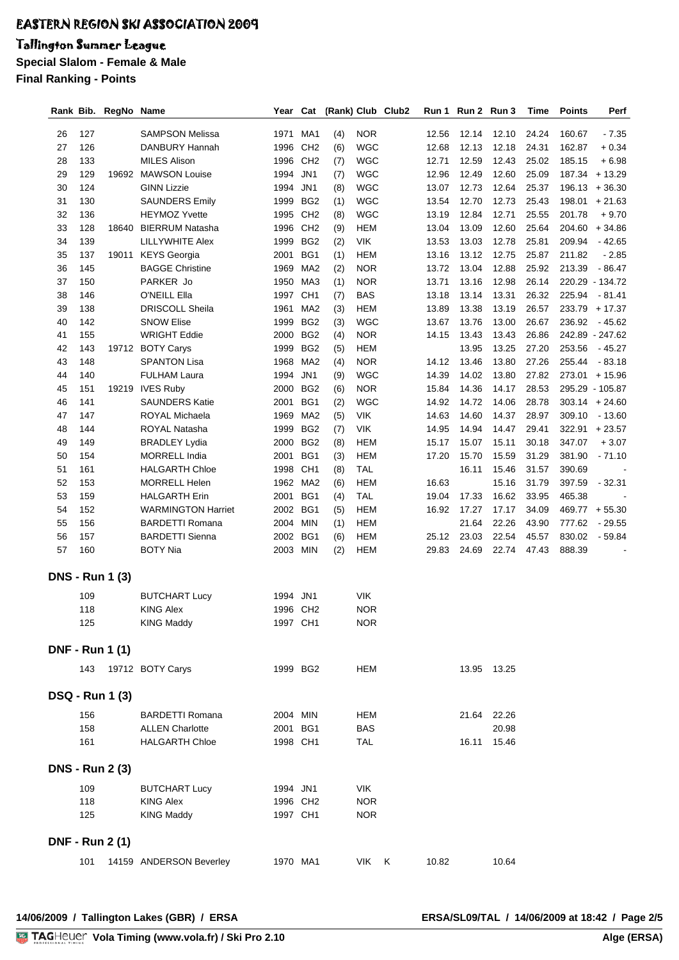# Tallington Summer League

**Special Slalom - Female & Male**

**Final Ranking - Points**

| Rank Bib. |     | RegNo Name             |                           | Year     | Cat             |     |            | (Rank) Club Club2 | Run 1 | Run 2 Run 3 |             | Time  | <b>Points</b> | Perf             |
|-----------|-----|------------------------|---------------------------|----------|-----------------|-----|------------|-------------------|-------|-------------|-------------|-------|---------------|------------------|
|           |     |                        |                           |          |                 |     |            |                   |       |             |             |       |               |                  |
| 26        | 127 |                        | <b>SAMPSON Melissa</b>    | 1971     | MA1             | (4) | <b>NOR</b> |                   | 12.56 | 12.14       | 12.10       | 24.24 | 160.67        | $-7.35$          |
| 27        | 126 |                        | DANBURY Hannah            | 1996     | CH <sub>2</sub> | (6) | <b>WGC</b> |                   | 12.68 | 12.13       | 12.18       | 24.31 | 162.87        | $+0.34$          |
| 28        | 133 |                        | <b>MILES Alison</b>       | 1996     | CH <sub>2</sub> | (7) | <b>WGC</b> |                   | 12.71 | 12.59       | 12.43       | 25.02 | 185.15        | $+6.98$          |
| 29        | 129 | 19692                  | <b>MAWSON Louise</b>      | 1994     | JN <sub>1</sub> | (7) | <b>WGC</b> |                   | 12.96 | 12.49       | 12.60       | 25.09 |               | 187.34 + 13.29   |
| 30        | 124 |                        | <b>GINN Lizzie</b>        | 1994     | JN1             | (8) | <b>WGC</b> |                   | 13.07 | 12.73       | 12.64       | 25.37 |               | $196.13 + 36.30$ |
| 31        | 130 |                        | <b>SAUNDERS Emily</b>     | 1999     | BG <sub>2</sub> | (1) | <b>WGC</b> |                   | 13.54 | 12.70       | 12.73       | 25.43 | 198.01        | $+21.63$         |
| 32        | 136 |                        | <b>HEYMOZ Yvette</b>      | 1995     | CH <sub>2</sub> | (8) | <b>WGC</b> |                   | 13.19 | 12.84       | 12.71       | 25.55 | 201.78        | $+9.70$          |
| 33        | 128 | 18640                  | <b>BIERRUM Natasha</b>    | 1996     | CH <sub>2</sub> | (9) | <b>HEM</b> |                   | 13.04 | 13.09       | 12.60       | 25.64 | 204.60        | $+34.86$         |
| 34        | 139 |                        | LILLYWHITE Alex           | 1999     | BG <sub>2</sub> | (2) | <b>VIK</b> |                   | 13.53 | 13.03       | 12.78       | 25.81 | 209.94        | $-42.65$         |
| 35        | 137 | 19011                  | <b>KEYS</b> Georgia       | 2001     | BG1             | (1) | <b>HEM</b> |                   | 13.16 | 13.12       | 12.75       | 25.87 | 211.82        | $-2.85$          |
| 36        | 145 |                        | <b>BAGGE Christine</b>    | 1969     | MA <sub>2</sub> | (2) | <b>NOR</b> |                   | 13.72 | 13.04       | 12.88       | 25.92 | 213.39        | $-86.47$         |
| 37        | 150 |                        | PARKER Jo                 | 1950     | MA3             | (1) | <b>NOR</b> |                   | 13.71 | 13.16       | 12.98       | 26.14 |               | 220.29 - 134.72  |
| 38        | 146 |                        | O'NEILL Ella              | 1997     | CH <sub>1</sub> | (7) | <b>BAS</b> |                   | 13.18 | 13.14       | 13.31       | 26.32 | 225.94        | $-81.41$         |
| 39        | 138 |                        | <b>DRISCOLL Sheila</b>    | 1961     | MA <sub>2</sub> | (3) | <b>HEM</b> |                   | 13.89 | 13.38       | 13.19       | 26.57 |               | 233.79 + 17.37   |
| 40        | 142 |                        | <b>SNOW Elise</b>         | 1999     | BG <sub>2</sub> | (3) | <b>WGC</b> |                   | 13.67 | 13.76       | 13.00       | 26.67 | 236.92        | $-45.62$         |
| 41        | 155 |                        | <b>WRIGHT Eddie</b>       | 2000     | BG <sub>2</sub> | (4) | <b>NOR</b> |                   | 14.15 | 13.43       | 13.43       | 26.86 |               | 242.89 - 247.62  |
| 42        | 143 | 19712                  | <b>BOTY Carys</b>         | 1999     | BG <sub>2</sub> | (5) | <b>HEM</b> |                   |       | 13.95       | 13.25       | 27.20 | 253.56        | - 45.27          |
| 43        | 148 |                        | <b>SPANTON Lisa</b>       | 1968     | MA <sub>2</sub> | (4) | <b>NOR</b> |                   | 14.12 | 13.46       | 13.80       | 27.26 | 255.44        | $-83.18$         |
| 44        | 140 |                        | <b>FULHAM Laura</b>       | 1994     | JN <sub>1</sub> | (9) | <b>WGC</b> |                   | 14.39 | 14.02       | 13.80       | 27.82 | 273.01        | $+15.96$         |
| 45        | 151 | 19219                  | <b>IVES Ruby</b>          | 2000     | BG <sub>2</sub> | (6) | <b>NOR</b> |                   | 15.84 | 14.36       | 14.17       | 28.53 |               | 295.29 - 105.87  |
| 46        | 141 |                        | <b>SAUNDERS Katie</b>     | 2001     | BG1             | (2) | <b>WGC</b> |                   | 14.92 | 14.72       | 14.06       | 28.78 |               | $303.14 + 24.60$ |
| 47        | 147 |                        | ROYAL Michaela            | 1969     | MA <sub>2</sub> | (5) | <b>VIK</b> |                   | 14.63 | 14.60       | 14.37       | 28.97 | 309.10        | $-13.60$         |
| 48        | 144 |                        | ROYAL Natasha             | 1999     | BG <sub>2</sub> | (7) | <b>VIK</b> |                   | 14.95 | 14.94       | 14.47       | 29.41 | 322.91        | $+23.57$         |
| 49        | 149 |                        | <b>BRADLEY Lydia</b>      | 2000     | BG <sub>2</sub> | (8) | <b>HEM</b> |                   | 15.17 | 15.07       | 15.11       | 30.18 | 347.07        | $+3.07$          |
| 50        | 154 |                        | <b>MORRELL India</b>      | 2001     | BG1             | (3) | <b>HEM</b> |                   | 17.20 | 15.70       | 15.59       | 31.29 | 381.90        | $-71.10$         |
| 51        | 161 |                        | <b>HALGARTH Chloe</b>     | 1998     | CH <sub>1</sub> | (8) | <b>TAL</b> |                   |       | 16.11       | 15.46       | 31.57 | 390.69        |                  |
| 52        | 153 |                        | <b>MORRELL Helen</b>      | 1962     | MA2             | (6) | <b>HEM</b> |                   | 16.63 |             | 15.16       | 31.79 | 397.59        | $-32.31$         |
| 53        | 159 |                        | <b>HALGARTH Erin</b>      | 2001     | BG1             | (4) | <b>TAL</b> |                   | 19.04 | 17.33       | 16.62       | 33.95 | 465.38        |                  |
| 54        | 152 |                        | <b>WARMINGTON Harriet</b> | 2002     | BG1             | (5) | <b>HEM</b> |                   | 16.92 | 17.27       | 17.17       | 34.09 |               | 469.77 + 55.30   |
| 55        | 156 |                        | <b>BARDETTI Romana</b>    | 2004     | <b>MIN</b>      | (1) | <b>HEM</b> |                   |       | 21.64       | 22.26       | 43.90 | 777.62        | $-29.55$         |
| 56        | 157 |                        | <b>BARDETTI Sienna</b>    | 2002     | BG1             | (6) | <b>HEM</b> |                   | 25.12 | 23.03       | 22.54       | 45.57 | 830.02        | $-59.84$         |
| 57        | 160 |                        | <b>BOTY Nia</b>           | 2003     | <b>MIN</b>      | (2) | <b>HEM</b> |                   | 29.83 | 24.69       | 22.74       | 47.43 | 888.39        |                  |
|           |     |                        |                           |          |                 |     |            |                   |       |             |             |       |               |                  |
|           |     | <b>DNS - Run 1 (3)</b> |                           |          |                 |     |            |                   |       |             |             |       |               |                  |
|           |     |                        |                           |          | JN1             |     | <b>VIK</b> |                   |       |             |             |       |               |                  |
|           | 109 |                        | <b>BUTCHART Lucy</b>      | 1994     |                 |     |            |                   |       |             |             |       |               |                  |
|           | 118 |                        | <b>KING Alex</b>          | 1996 CH2 |                 |     | <b>NOR</b> |                   |       |             |             |       |               |                  |
|           | 125 |                        | <b>KING Maddy</b>         | 1997 CH1 |                 |     | <b>NOR</b> |                   |       |             |             |       |               |                  |
|           |     | <b>DNF - Run 1 (1)</b> |                           |          |                 |     |            |                   |       |             |             |       |               |                  |
|           |     |                        |                           |          |                 |     |            |                   |       |             |             |       |               |                  |
|           | 143 |                        | 19712 BOTY Carys          | 1999 BG2 |                 |     | <b>HEM</b> |                   |       |             | 13.95 13.25 |       |               |                  |
|           |     |                        |                           |          |                 |     |            |                   |       |             |             |       |               |                  |
|           |     | <b>DSQ - Run 1 (3)</b> |                           |          |                 |     |            |                   |       |             |             |       |               |                  |
|           | 156 |                        | <b>BARDETTI Romana</b>    | 2004 MIN |                 |     | <b>HEM</b> |                   |       |             | 21.64 22.26 |       |               |                  |
|           | 158 |                        | <b>ALLEN Charlotte</b>    | 2001 BG1 |                 |     | <b>BAS</b> |                   |       |             | 20.98       |       |               |                  |
|           | 161 |                        | <b>HALGARTH Chloe</b>     | 1998 CH1 |                 |     | <b>TAL</b> |                   |       |             | 16.11 15.46 |       |               |                  |
|           |     |                        |                           |          |                 |     |            |                   |       |             |             |       |               |                  |
|           |     | <b>DNS - Run 2 (3)</b> |                           |          |                 |     |            |                   |       |             |             |       |               |                  |
|           |     |                        |                           |          |                 |     |            |                   |       |             |             |       |               |                  |
|           | 109 |                        | <b>BUTCHART Lucy</b>      | 1994 JN1 |                 |     | VIK.       |                   |       |             |             |       |               |                  |
|           | 118 |                        | <b>KING Alex</b>          | 1996 CH2 |                 |     | <b>NOR</b> |                   |       |             |             |       |               |                  |
|           | 125 |                        | <b>KING Maddy</b>         | 1997 CH1 |                 |     | <b>NOR</b> |                   |       |             |             |       |               |                  |
|           |     |                        |                           |          |                 |     |            |                   |       |             |             |       |               |                  |
|           |     | <b>DNF - Run 2 (1)</b> |                           |          |                 |     |            |                   |       |             |             |       |               |                  |
|           | 101 |                        | 14159 ANDERSON Beverley   | 1970 MA1 |                 |     | VIK        | K                 | 10.82 |             | 10.64       |       |               |                  |
|           |     |                        |                           |          |                 |     |            |                   |       |             |             |       |               |                  |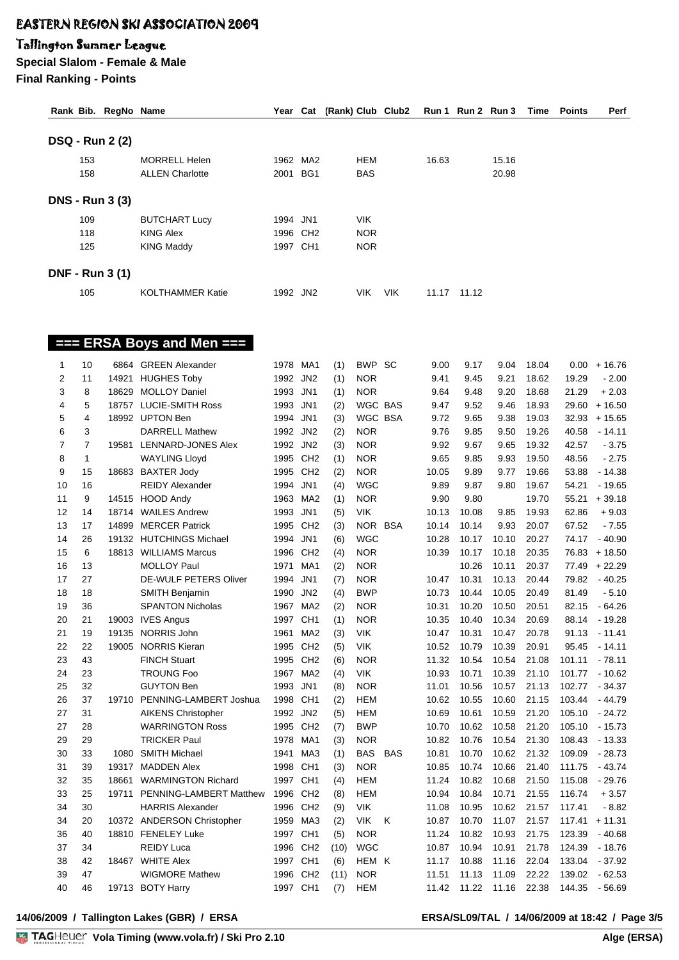## Tallington Summer League

**Special Slalom - Female & Male Final Ranking - Points**

|                |                | <b>DSQ - Run 2 (2)</b> |                            |          |          |      |            |            |       |       |       |       |        |                |
|----------------|----------------|------------------------|----------------------------|----------|----------|------|------------|------------|-------|-------|-------|-------|--------|----------------|
|                | 153            |                        | <b>MORRELL Helen</b>       |          | 1962 MA2 |      | <b>HEM</b> |            | 16.63 |       | 15.16 |       |        |                |
|                | 158            |                        | <b>ALLEN Charlotte</b>     | 2001 BG1 |          |      | <b>BAS</b> |            |       |       | 20.98 |       |        |                |
|                |                |                        |                            |          |          |      |            |            |       |       |       |       |        |                |
|                |                | <b>DNS - Run 3 (3)</b> |                            |          |          |      |            |            |       |       |       |       |        |                |
|                | 109            |                        | <b>BUTCHART Lucy</b>       | 1994 JN1 |          |      | <b>VIK</b> |            |       |       |       |       |        |                |
|                | 118            |                        | <b>KING Alex</b>           |          | 1996 CH2 |      | <b>NOR</b> |            |       |       |       |       |        |                |
|                | 125            |                        | <b>KING Maddy</b>          | 1997 CH1 |          |      | <b>NOR</b> |            |       |       |       |       |        |                |
|                |                | <b>DNF - Run 3 (1)</b> |                            |          |          |      |            |            |       |       |       |       |        |                |
|                |                |                        |                            |          |          |      |            |            |       |       |       |       |        |                |
|                | 105            |                        | <b>KOLTHAMMER Katie</b>    | 1992 JN2 |          |      | <b>VIK</b> | <b>VIK</b> | 11.17 | 11.12 |       |       |        |                |
|                |                |                        |                            |          |          |      |            |            |       |       |       |       |        |                |
|                |                |                        | === ERSA Boys and Men ===  |          |          |      |            |            |       |       |       |       |        |                |
| 1              | 10             |                        | 6864 GREEN Alexander       | 1978 MA1 |          | (1)  | BWP SC     |            | 9.00  | 9.17  | 9.04  | 18.04 |        | $0.00 + 16.76$ |
| 2              | 11             | 14921                  | <b>HUGHES Toby</b>         | 1992 JN2 |          | (1)  | <b>NOR</b> |            | 9.41  | 9.45  | 9.21  | 18.62 | 19.29  | $-2.00$        |
| 3              | 8              | 18629                  | <b>MOLLOY Daniel</b>       | 1993 JN1 |          | (1)  | <b>NOR</b> |            | 9.64  | 9.48  | 9.20  | 18.68 | 21.29  | $+2.03$        |
| 4              | 5              |                        | 18757 LUCIE-SMITH Ross     | 1993 JN1 |          | (2)  | WGC BAS    |            | 9.47  | 9.52  | 9.46  | 18.93 | 29.60  | $+16.50$       |
| 5              | 4              |                        | 18992 UPTON Ben            | 1994 JN1 |          | (3)  | WGC BSA    |            | 9.72  | 9.65  | 9.38  | 19.03 | 32.93  | $+15.65$       |
| 6              | 3              |                        | <b>DARRELL Mathew</b>      | 1992 JN2 |          | (2)  | <b>NOR</b> |            | 9.76  | 9.85  | 9.50  | 19.26 | 40.58  | $-14.11$       |
| $\overline{7}$ | $\overline{7}$ |                        | 19581 LENNARD-JONES Alex   | 1992 JN2 |          | (3)  | <b>NOR</b> |            | 9.92  | 9.67  | 9.65  | 19.32 | 42.57  | $-3.75$        |
| 8              | 1              |                        | <b>WAYLING Lloyd</b>       | 1995 CH2 |          | (1)  | <b>NOR</b> |            | 9.65  | 9.85  | 9.93  | 19.50 | 48.56  | $-2.75$        |
| 9              | 15             |                        | 18683 BAXTER Jody          |          | 1995 CH2 | (2)  | <b>NOR</b> |            | 10.05 | 9.89  | 9.77  | 19.66 | 53.88  | $-14.38$       |
| 10             | 16             |                        | <b>REIDY Alexander</b>     | 1994 JN1 |          | (4)  | <b>WGC</b> |            | 9.89  | 9.87  | 9.80  | 19.67 | 54.21  | $-19.65$       |
| 11             | 9              |                        | 14515 HOOD Andy            |          | 1963 MA2 | (1)  | <b>NOR</b> |            | 9.90  | 9.80  |       | 19.70 | 55.21  | $+39.18$       |
| 12             | 14             |                        | 18714 WAILES Andrew        | 1993 JN1 |          | (5)  | <b>VIK</b> |            | 10.13 | 10.08 | 9.85  | 19.93 | 62.86  | $+9.03$        |
| 13             | 17             | 14899                  | <b>MERCER Patrick</b>      |          | 1995 CH2 | (3)  | NOR BSA    |            | 10.14 | 10.14 | 9.93  | 20.07 | 67.52  | $-7.55$        |
| 14             | 26             |                        | 19132 HUTCHINGS Michael    | 1994 JN1 |          | (6)  | <b>WGC</b> |            | 10.28 | 10.17 | 10.10 | 20.27 | 74.17  | $-40.90$       |
| 15             | 6              |                        | 18813 WILLIAMS Marcus      |          | 1996 CH2 | (4)  | <b>NOR</b> |            | 10.39 | 10.17 | 10.18 | 20.35 | 76.83  | $+18.50$       |
| 16             | 13             |                        | <b>MOLLOY Paul</b>         | 1971     | MA1      | (2)  | <b>NOR</b> |            |       | 10.26 | 10.11 | 20.37 | 77.49  | $+22.29$       |
| 17             | 27             |                        | DE-WULF PETERS Oliver      | 1994 JN1 |          | (7)  | <b>NOR</b> |            | 10.47 | 10.31 | 10.13 | 20.44 | 79.82  | $-40.25$       |
| 18             | 18             |                        | <b>SMITH Benjamin</b>      | 1990 JN2 |          | (4)  | <b>BWP</b> |            | 10.73 | 10.44 | 10.05 | 20.49 | 81.49  | $-5.10$        |
| 19             | 36             |                        | <b>SPANTON Nicholas</b>    |          | 1967 MA2 | (2)  | <b>NOR</b> |            | 10.31 | 10.20 | 10.50 | 20.51 | 82.15  | $-64.26$       |
| 20             | 21             |                        | 19003 IVES Angus           | 1997 CH1 |          | (1)  | <b>NOR</b> |            | 10.35 | 10.40 | 10.34 | 20.69 | 88.14  | - 19.28        |
| 21             | 19             |                        | 19135 NORRIS John          |          | 1961 MA2 | (3)  | VIK.       |            | 10.47 | 10.31 | 10.47 | 20.78 |        | 91.13 - 11.41  |
| 22             | 22             |                        | 19005 NORRIS Kieran        |          | 1995 CH2 | (5)  | <b>VIK</b> |            | 10.52 | 10.79 | 10.39 | 20.91 | 95.45  | $-14.11$       |
| 23             | 43             |                        | <b>FINCH Stuart</b>        |          | 1995 CH2 | (6)  | <b>NOR</b> |            | 11.32 | 10.54 | 10.54 | 21.08 | 101.11 | $-78.11$       |
| 24             | 23             |                        | <b>TROUNG Foo</b>          |          | 1967 MA2 | (4)  | VIK        |            | 10.93 | 10.71 | 10.39 | 21.10 | 101.77 | $-10.62$       |
| 25             | 32             |                        | <b>GUYTON Ben</b>          | 1993 JN1 |          | (8)  | <b>NOR</b> |            | 11.01 | 10.56 | 10.57 | 21.13 | 102.77 | $-34.37$       |
| 26             | 37             | 19710                  | PENNING-LAMBERT Joshua     | 1998 CH1 |          | (2)  | <b>HEM</b> |            | 10.62 | 10.55 | 10.60 | 21.15 | 103.44 | $-44.79$       |
| 27             | 31             |                        | <b>AIKENS Christopher</b>  | 1992 JN2 |          | (5)  | <b>HEM</b> |            | 10.69 | 10.61 | 10.59 | 21.20 | 105.10 | $-24.72$       |
| 27             | 28             |                        | <b>WARRINGTON Ross</b>     |          | 1995 CH2 | (7)  | <b>BWP</b> |            | 10.70 | 10.62 | 10.58 | 21.20 | 105.10 | $-15.73$       |
| 29             | 29             |                        | <b>TRICKER Paul</b>        |          | 1978 MA1 | (3)  | <b>NOR</b> |            | 10.82 | 10.76 | 10.54 | 21.30 | 108.43 | $-13.33$       |
| 30             | 33             | 1080                   | <b>SMITH Michael</b>       | 1941     | MA3      | (1)  | BAS        | <b>BAS</b> | 10.81 | 10.70 | 10.62 | 21.32 | 109.09 | $-28.73$       |
| 31             | 39             |                        | 19317 MADDEN Alex          | 1998 CH1 |          | (3)  | <b>NOR</b> |            | 10.85 | 10.74 | 10.66 | 21.40 | 111.75 | $-43.74$       |
| 32             | 35             | 18661                  | <b>WARMINGTON Richard</b>  | 1997 CH1 |          | (4)  | <b>HEM</b> |            | 11.24 | 10.82 | 10.68 | 21.50 | 115.08 | $-29.76$       |
| 33             | 25             | 19711                  | PENNING-LAMBERT Matthew    | 1996 CH2 |          | (8)  | <b>HEM</b> |            | 10.94 | 10.84 | 10.71 | 21.55 | 116.74 | $+3.57$        |
| 34             | 30             |                        | <b>HARRIS Alexander</b>    |          | 1996 CH2 | (9)  | <b>VIK</b> |            | 11.08 | 10.95 | 10.62 | 21.57 | 117.41 | $-8.82$        |
| 34             | 20             |                        | 10372 ANDERSON Christopher |          | 1959 MA3 | (2)  | <b>VIK</b> | K          | 10.87 | 10.70 | 11.07 | 21.57 | 117.41 | $+11.31$       |
| 36             | 40             |                        | 18810 FENELEY Luke         | 1997 CH1 |          | (5)  | <b>NOR</b> |            | 11.24 | 10.82 | 10.93 | 21.75 | 123.39 | - 40.68        |
| 37             | 34             |                        | <b>REIDY Luca</b>          |          | 1996 CH2 | (10) | <b>WGC</b> |            | 10.87 | 10.94 | 10.91 | 21.78 | 124.39 | $-18.76$       |
| 38             | 42             |                        | 18467 WHITE Alex           | 1997 CH1 |          | (6)  | HEM K      |            | 11.17 | 10.88 | 11.16 | 22.04 | 133.04 | - 37.92        |
| 39             | 47             |                        | <b>WIGMORE Mathew</b>      |          | 1996 CH2 | (11) | <b>NOR</b> |            | 11.51 | 11.13 | 11.09 | 22.22 | 139.02 | - 62.53        |
| 40             | 46             |                        | 19713 BOTY Harry           |          | 1997 CH1 | (7)  | HEM        |            | 11.42 | 11.22 | 11.16 | 22.38 | 144.35 | - 56.69        |

**Rank Bib. RegNo Name Year Cat (Rank) Club Club2 Run 1 Run 2 Run 3 Time Points Perf**

**14/06/2009 / Tallington Lakes (GBR) / ERSA ERSA/SL09/TAL / 14/06/2009 at 18:42 / Page 3/5**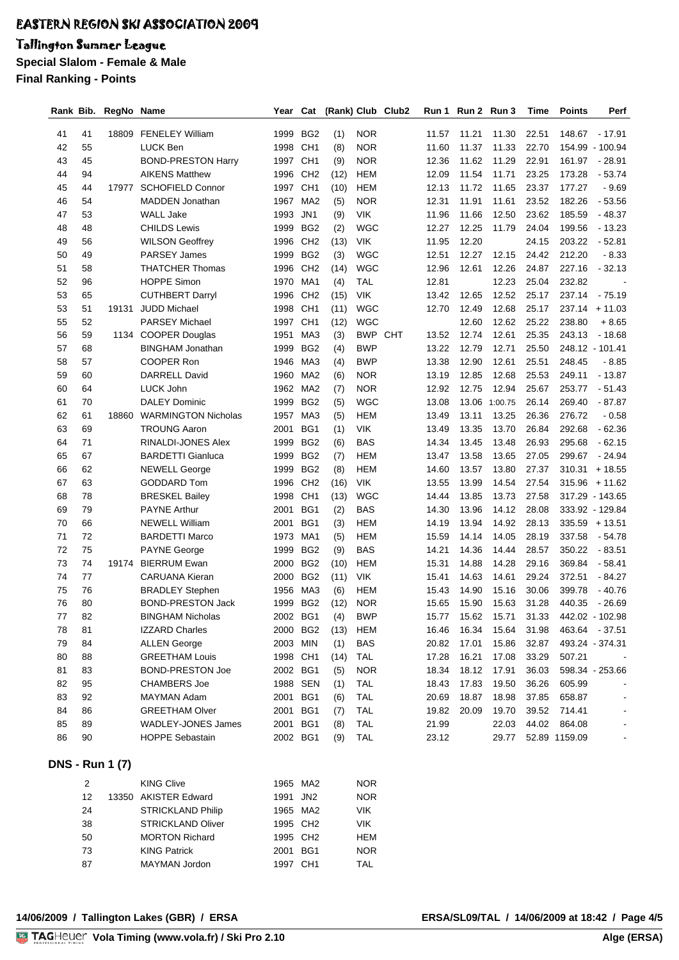# Tallington Summer League

**Special Slalom - Female & Male**

**Final Ranking - Points**

| Rank Bib. |                | RegNo Name             |                                          | Year                 | Cat                                |             |                          | (Rank) Club Club2 | Run 1          | Run 2 Run 3    |                | Time           | Points        | Perf                       |
|-----------|----------------|------------------------|------------------------------------------|----------------------|------------------------------------|-------------|--------------------------|-------------------|----------------|----------------|----------------|----------------|---------------|----------------------------|
|           |                |                        |                                          |                      |                                    |             |                          |                   |                |                |                |                |               |                            |
| 41<br>42  | 41<br>55       |                        | 18809 FENELEY William<br><b>LUCK Ben</b> | 1999<br>1998         | BG <sub>2</sub><br>CH <sub>1</sub> | (1)         | <b>NOR</b><br><b>NOR</b> |                   | 11.57<br>11.60 | 11.21<br>11.37 | 11.30<br>11.33 | 22.51<br>22.70 | 148.67        | - 17.91<br>154.99 - 100.94 |
| 43        | 45             |                        | <b>BOND-PRESTON Harry</b>                | 1997                 | CH <sub>1</sub>                    | (8)         | <b>NOR</b>               |                   | 12.36          | 11.62          | 11.29          | 22.91          | 161.97        | $-28.91$                   |
| 44        | 94             |                        | <b>AIKENS Matthew</b>                    | 1996                 | CH <sub>2</sub>                    | (9)<br>(12) | <b>HEM</b>               |                   | 12.09          | 11.54          | 11.71          | 23.25          | 173.28        | $-53.74$                   |
| 45        | 44             | 17977                  | <b>SCHOFIELD Connor</b>                  | 1997                 | CH <sub>1</sub>                    | (10)        | <b>HEM</b>               |                   | 12.13          | 11.72          | 11.65          | 23.37          | 177.27        | $-9.69$                    |
| 46        | 54             |                        | <b>MADDEN Jonathan</b>                   | 1967                 | MA <sub>2</sub>                    | (5)         | <b>NOR</b>               |                   | 12.31          | 11.91          | 11.61          | 23.52          | 182.26        | $-53.56$                   |
| 47        | 53             |                        | <b>WALL Jake</b>                         | 1993                 | JN <sub>1</sub>                    | (9)         | <b>VIK</b>               |                   | 11.96          | 11.66          | 12.50          | 23.62          | 185.59        | $-48.37$                   |
| 48        | 48             |                        | <b>CHILDS Lewis</b>                      | 1999                 | BG <sub>2</sub>                    | (2)         | <b>WGC</b>               |                   | 12.27          | 12.25          | 11.79          | 24.04          | 199.56        | $-13.23$                   |
| 49        | 56             |                        | <b>WILSON Geoffrey</b>                   | 1996                 | CH <sub>2</sub>                    | (13)        | <b>VIK</b>               |                   | 11.95          | 12.20          |                | 24.15          | 203.22        | $-52.81$                   |
| 50        | 49             |                        | PARSEY James                             | 1999                 | BG <sub>2</sub>                    | (3)         | <b>WGC</b>               |                   | 12.51          | 12.27          | 12.15          | 24.42          | 212.20        | $-8.33$                    |
| 51        | 58             |                        | <b>THATCHER Thomas</b>                   | 1996                 | CH <sub>2</sub>                    | (14)        | <b>WGC</b>               |                   | 12.96          | 12.61          | 12.26          | 24.87          | 227.16        | $-32.13$                   |
| 52        | 96             |                        | <b>HOPPE Simon</b>                       | 1970                 | MA1                                | (4)         | TAL                      |                   | 12.81          |                | 12.23          | 25.04          | 232.82        |                            |
| 53        | 65             |                        | <b>CUTHBERT Darryl</b>                   | 1996                 | CH <sub>2</sub>                    | (15)        | <b>VIK</b>               |                   | 13.42          | 12.65          | 12.52          | 25.17          | 237.14        | $-75.19$                   |
| 53        | 51             | 19131                  | <b>JUDD Michael</b>                      | 1998                 | CH <sub>1</sub>                    | (11)        | <b>WGC</b>               |                   | 12.70          | 12.49          | 12.68          | 25.17          |               | $237.14 + 11.03$           |
| 55        | 52             |                        | <b>PARSEY Michael</b>                    | 1997                 | CH <sub>1</sub>                    | (12)        | <b>WGC</b>               |                   |                | 12.60          | 12.62          | 25.22          | 238.80        | $+8.65$                    |
| 56        | 59             |                        | 1134 COOPER Douglas                      | 1951                 | MA3                                | (3)         | <b>BWP CHT</b>           |                   | 13.52          | 12.74          | 12.61          | 25.35          | 243.13        | $-18.68$                   |
| 57        | 68             |                        | <b>BINGHAM Jonathan</b>                  | 1999                 | BG <sub>2</sub>                    | (4)         | <b>BWP</b>               |                   | 13.22          | 12.79          | 12.71          | 25.50          |               | 248.12 - 101.41            |
| 58        | 57             |                        | COOPER Ron                               | 1946                 | MA3                                | (4)         | <b>BWP</b>               |                   | 13.38          | 12.90          | 12.61          | 25.51          | 248.45        | $-8.85$                    |
| 59        | 60             |                        | <b>DARRELL David</b>                     | 1960                 | MA <sub>2</sub>                    | (6)         | <b>NOR</b>               |                   | 13.19          | 12.85          | 12.68          | 25.53          | 249.11        | $-13.87$                   |
| 60        | 64             |                        | LUCK John                                | 1962                 | MA <sub>2</sub>                    | (7)         | <b>NOR</b>               |                   | 12.92          | 12.75          | 12.94          | 25.67          | 253.77        | $-51.43$                   |
| 61        | 70             |                        | <b>DALEY Dominic</b>                     | 1999                 | BG <sub>2</sub>                    | (5)         | <b>WGC</b>               |                   | 13.08          | 13.06          | 1:00.75        | 26.14          | 269.40        | $-87.87$                   |
| 62        | 61             | 18860                  | <b>WARMINGTON Nicholas</b>               | 1957                 | MA3                                | (5)         | <b>HEM</b>               |                   | 13.49          | 13.11          | 13.25          | 26.36          | 276.72        | $-0.58$                    |
| 63        | 69             |                        | <b>TROUNG Aaron</b>                      | 2001                 | BG1                                | (1)         | <b>VIK</b>               |                   | 13.49          | 13.35          | 13.70          | 26.84          | 292.68        | $-62.36$                   |
| 64        | 71             |                        | RINALDI-JONES Alex                       | 1999                 | BG <sub>2</sub>                    | (6)         | <b>BAS</b>               |                   | 14.34          | 13.45          | 13.48          | 26.93          | 295.68        | $-62.15$                   |
| 65        | 67             |                        | <b>BARDETTI Gianluca</b>                 | 1999                 | BG <sub>2</sub>                    | (7)         | <b>HEM</b>               |                   | 13.47          | 13.58          | 13.65          | 27.05          | 299.67        | $-24.94$                   |
| 66        | 62             |                        | <b>NEWELL George</b>                     | 1999                 | BG <sub>2</sub>                    | (8)         | <b>HEM</b>               |                   | 14.60          | 13.57          | 13.80          | 27.37          | 310.31        | $+18.55$                   |
| 67        | 63             |                        | <b>GODDARD Tom</b>                       | 1996                 | CH <sub>2</sub>                    | (16)        | <b>VIK</b>               |                   | 13.55          | 13.99          | 14.54          | 27.54          | 315.96        | $+11.62$                   |
| 68        | 78             |                        | <b>BRESKEL Bailey</b>                    | 1998                 | CH <sub>1</sub>                    | (13)        | <b>WGC</b>               |                   | 14.44          | 13.85          | 13.73          | 27.58          |               | 317.29 - 143.65            |
| 69        | 79             |                        | <b>PAYNE Arthur</b>                      | 2001                 | BG1                                | (2)         | <b>BAS</b>               |                   | 14.30          | 13.96          | 14.12          | 28.08          |               | 333.92 - 129.84            |
| 70        | 66             |                        | <b>NEWELL William</b>                    | 2001                 | BG1                                | (3)         | <b>HEM</b>               |                   | 14.19          | 13.94          | 14.92          | 28.13          | 335.59        | $+13.51$                   |
| 71        | 72             |                        | <b>BARDETTI Marco</b>                    | 1973                 | MA <sub>1</sub>                    | (5)         | <b>HEM</b>               |                   | 15.59          | 14.14          | 14.05          | 28.19          | 337.58        | $-54.78$                   |
| 72        | 75             |                        | <b>PAYNE George</b>                      | 1999                 | BG <sub>2</sub>                    | (9)         | <b>BAS</b>               |                   | 14.21          | 14.36          | 14.44          | 28.57          | 350.22        | $-83.51$                   |
| 73        | 74             | 19174                  | <b>BIERRUM Ewan</b>                      | 2000                 | BG <sub>2</sub>                    | (10)        | <b>HEM</b>               |                   | 15.31          | 14.88          | 14.28          | 29.16          | 369.84        | $-58.41$                   |
| 74        | 77             |                        | <b>CARUANA Kieran</b>                    | 2000                 | BG <sub>2</sub>                    | (11)        | <b>VIK</b>               |                   | 15.41          | 14.63          | 14.61          | 29.24          | 372.51        | $-84.27$                   |
| 75        | 76             |                        | <b>BRADLEY Stephen</b>                   | 1956                 | MA3                                | (6)         | HEM                      |                   | 15.43          | 14.90          | 15.16          | 30.06          | 399.78        | $-40.76$                   |
| 76        | 80             |                        | <b>BOND-PRESTON Jack</b>                 | 1999                 | BG <sub>2</sub>                    | (12)        | <b>NOR</b>               |                   | 15.65          | 15.90          | 15.63          | 31.28          | 440.35        | $-26.69$                   |
| 77        | 82             |                        | <b>BINGHAM Nicholas</b>                  | 2002                 | BG1                                | (4)         | <b>BWP</b>               |                   | 15.77          |                | 15.62 15.71    | 31.33          |               | 442.02 - 102.98            |
| 78        | 81             |                        | <b>IZZARD Charles</b>                    | 2000 BG2             |                                    | (13)        | HEM                      |                   | 16.46          | 16.34          |                | 15.64 31.98    |               | 463.64 - 37.51             |
| 79        | 84             |                        | <b>ALLEN George</b>                      | 2003 MIN             |                                    | (1)         | BAS                      |                   | 20.82          | 17.01          | 15.86          | 32.87          |               | 493.24 - 374.31            |
| 80        | 88             |                        | <b>GREETHAM Louis</b>                    | 1998 CH1             |                                    | (14)        | TAL                      |                   | 17.28          | 16.21          | 17.08          | 33.29          | 507.21        |                            |
| 81        | 83             |                        | <b>BOND-PRESTON Joe</b>                  | 2002 BG1             |                                    | (5)         | <b>NOR</b>               |                   | 18.34          | 18.12          | 17.91          | 36.03          |               | 598.34 - 253.66            |
| 82        | 95             |                        | <b>CHAMBERS Joe</b>                      | 1988 SEN             |                                    | (1)         | <b>TAL</b>               |                   | 18.43          | 17.83          | 19.50          | 36.26          | 605.99        |                            |
| 83        | 92             |                        | MAYMAN Adam                              | 2001 BG1             |                                    | (6)         | TAL                      |                   | 20.69          | 18.87          | 18.98          | 37.85          | 658.87        |                            |
| 84        | 86             |                        | <b>GREETHAM Olver</b>                    | 2001 BG1             |                                    | (7)         | <b>TAL</b>               |                   | 19.82          | 20.09          | 19.70          | 39.52          | 714.41        |                            |
| 85        | 89             |                        | WADLEY-JONES James                       | 2001 BG1             |                                    | (8)         | <b>TAL</b>               |                   | 21.99          |                | 22.03          | 44.02          | 864.08        |                            |
| 86        | 90             |                        | <b>HOPPE Sebastain</b>                   | 2002 BG1             |                                    | (9)         | <b>TAL</b>               |                   | 23.12          |                | 29.77          |                | 52.89 1159.09 |                            |
|           |                | <b>DNS - Run 1 (7)</b> |                                          |                      |                                    |             |                          |                   |                |                |                |                |               |                            |
|           | $\overline{c}$ |                        | <b>KING Clive</b>                        | 1965 MA2             |                                    |             | <b>NOR</b>               |                   |                |                |                |                |               |                            |
|           | 12             |                        | 13350 AKISTER Edward                     | 1991 JN2             |                                    |             | <b>NOR</b>               |                   |                |                |                |                |               |                            |
|           | 24             |                        | <b>STRICKLAND Philip</b>                 | 1965 MA2             |                                    |             | <b>VIK</b>               |                   |                |                |                |                |               |                            |
|           | 38             |                        | <b>STRICKLAND Oliver</b>                 | 1995 CH <sub>2</sub> |                                    |             | VIK                      |                   |                |                |                |                |               |                            |
|           | 50             |                        | <b>MORTON Richard</b>                    | 1995 CH <sub>2</sub> |                                    |             | HEM                      |                   |                |                |                |                |               |                            |
|           | 73             |                        | <b>KING Patrick</b>                      | 2001 BG1             |                                    |             | <b>NOR</b>               |                   |                |                |                |                |               |                            |
|           | 87             |                        | MAYMAN Jordon                            | 1997 CH1             |                                    |             | <b>TAL</b>               |                   |                |                |                |                |               |                            |